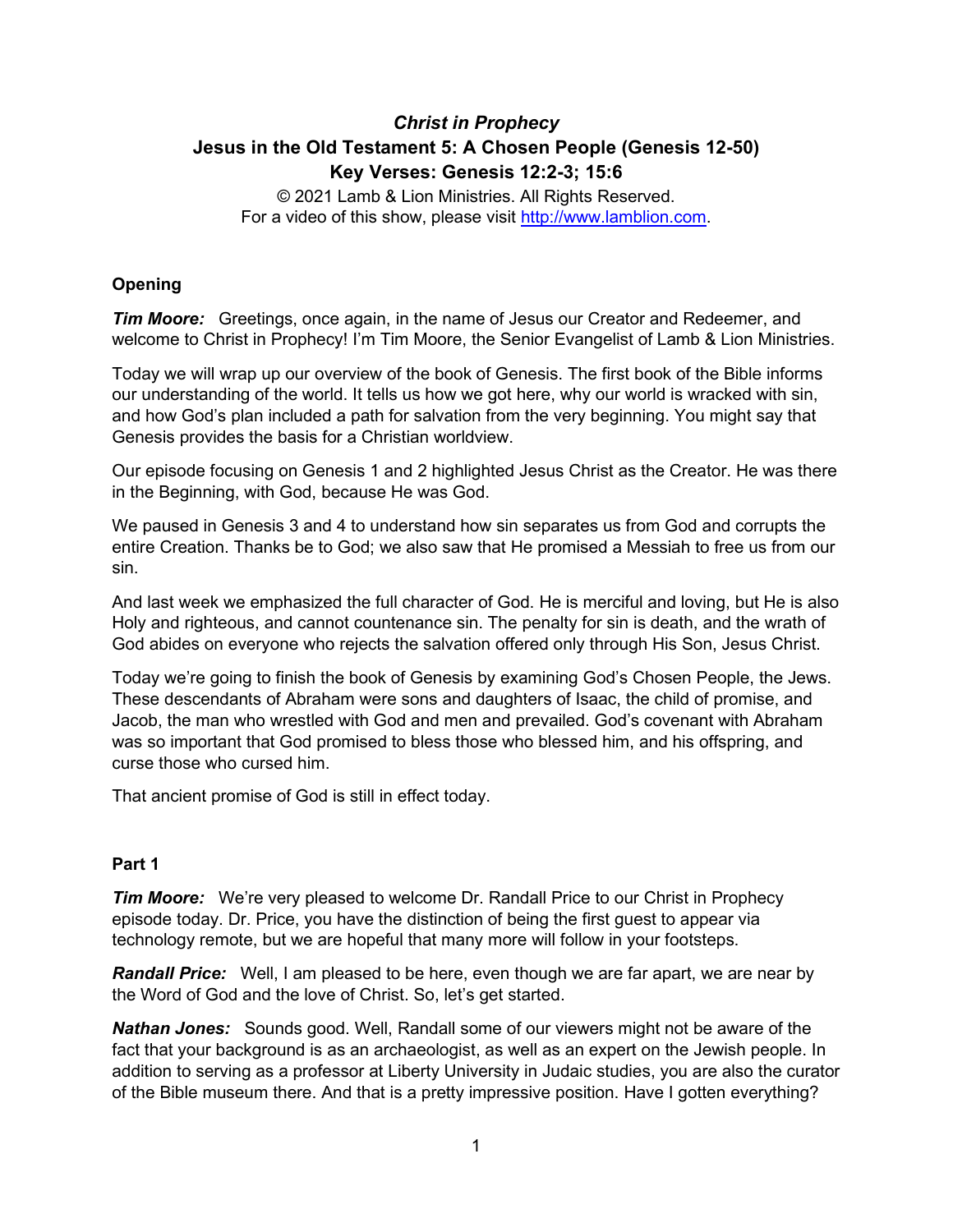# *Christ in Prophecy* **Jesus in the Old Testament 5: A Chosen People (Genesis 12-50) Key Verses: Genesis 12:2-3; 15:6**

© 2021 Lamb & Lion Ministries. All Rights Reserved. For a video of this show, please visit [http://www.lamblion.com.](http://www.lamblion.com/)

# **Opening**

*Tim Moore:* Greetings, once again, in the name of Jesus our Creator and Redeemer, and welcome to Christ in Prophecy! I'm Tim Moore, the Senior Evangelist of Lamb & Lion Ministries.

Today we will wrap up our overview of the book of Genesis. The first book of the Bible informs our understanding of the world. It tells us how we got here, why our world is wracked with sin, and how God's plan included a path for salvation from the very beginning. You might say that Genesis provides the basis for a Christian worldview.

Our episode focusing on Genesis 1 and 2 highlighted Jesus Christ as the Creator. He was there in the Beginning, with God, because He was God.

We paused in Genesis 3 and 4 to understand how sin separates us from God and corrupts the entire Creation. Thanks be to God; we also saw that He promised a Messiah to free us from our sin.

And last week we emphasized the full character of God. He is merciful and loving, but He is also Holy and righteous, and cannot countenance sin. The penalty for sin is death, and the wrath of God abides on everyone who rejects the salvation offered only through His Son, Jesus Christ.

Today we're going to finish the book of Genesis by examining God's Chosen People, the Jews. These descendants of Abraham were sons and daughters of Isaac, the child of promise, and Jacob, the man who wrestled with God and men and prevailed. God's covenant with Abraham was so important that God promised to bless those who blessed him, and his offspring, and curse those who cursed him.

That ancient promise of God is still in effect today.

## **Part 1**

*Tim Moore:* We're very pleased to welcome Dr. Randall Price to our Christ in Prophecy episode today. Dr. Price, you have the distinction of being the first guest to appear via technology remote, but we are hopeful that many more will follow in your footsteps.

*Randall Price:* Well, I am pleased to be here, even though we are far apart, we are near by the Word of God and the love of Christ. So, let's get started.

*Nathan Jones:* Sounds good. Well, Randall some of our viewers might not be aware of the fact that your background is as an archaeologist, as well as an expert on the Jewish people. In addition to serving as a professor at Liberty University in Judaic studies, you are also the curator of the Bible museum there. And that is a pretty impressive position. Have I gotten everything?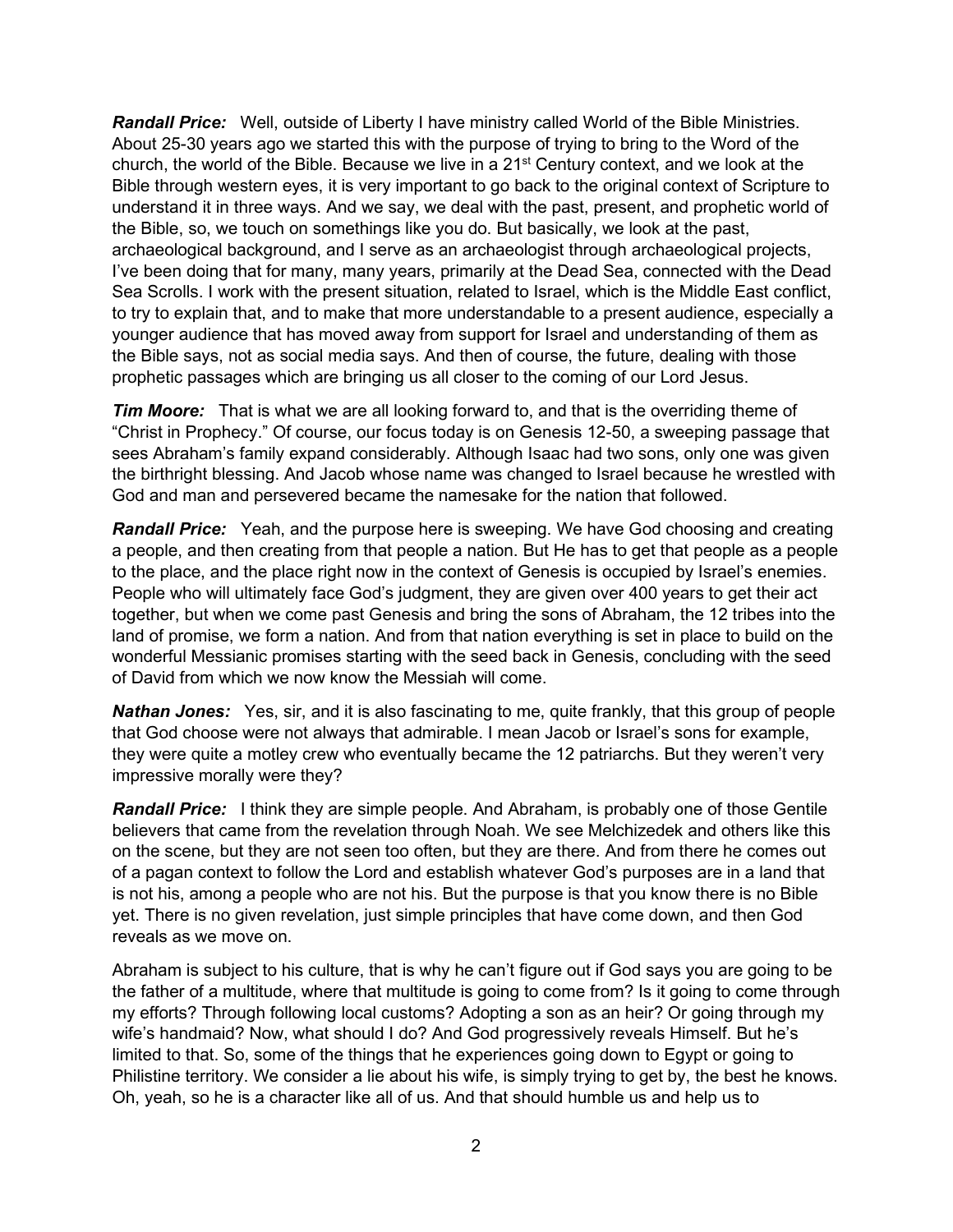*Randall Price:* Well, outside of Liberty I have ministry called World of the Bible Ministries. About 25-30 years ago we started this with the purpose of trying to bring to the Word of the church, the world of the Bible. Because we live in a 21<sup>st</sup> Century context, and we look at the Bible through western eyes, it is very important to go back to the original context of Scripture to understand it in three ways. And we say, we deal with the past, present, and prophetic world of the Bible, so, we touch on somethings like you do. But basically, we look at the past, archaeological background, and I serve as an archaeologist through archaeological projects, I've been doing that for many, many years, primarily at the Dead Sea, connected with the Dead Sea Scrolls. I work with the present situation, related to Israel, which is the Middle East conflict, to try to explain that, and to make that more understandable to a present audience, especially a younger audience that has moved away from support for Israel and understanding of them as the Bible says, not as social media says. And then of course, the future, dealing with those prophetic passages which are bringing us all closer to the coming of our Lord Jesus.

**Tim Moore:** That is what we are all looking forward to, and that is the overriding theme of "Christ in Prophecy." Of course, our focus today is on Genesis 12-50, a sweeping passage that sees Abraham's family expand considerably. Although Isaac had two sons, only one was given the birthright blessing. And Jacob whose name was changed to Israel because he wrestled with God and man and persevered became the namesake for the nation that followed.

*Randall Price:* Yeah, and the purpose here is sweeping. We have God choosing and creating a people, and then creating from that people a nation. But He has to get that people as a people to the place, and the place right now in the context of Genesis is occupied by Israel's enemies. People who will ultimately face God's judgment, they are given over 400 years to get their act together, but when we come past Genesis and bring the sons of Abraham, the 12 tribes into the land of promise, we form a nation. And from that nation everything is set in place to build on the wonderful Messianic promises starting with the seed back in Genesis, concluding with the seed of David from which we now know the Messiah will come.

*Nathan Jones:* Yes, sir, and it is also fascinating to me, quite frankly, that this group of people that God choose were not always that admirable. I mean Jacob or Israel's sons for example, they were quite a motley crew who eventually became the 12 patriarchs. But they weren't very impressive morally were they?

*Randall Price:* I think they are simple people. And Abraham, is probably one of those Gentile believers that came from the revelation through Noah. We see Melchizedek and others like this on the scene, but they are not seen too often, but they are there. And from there he comes out of a pagan context to follow the Lord and establish whatever God's purposes are in a land that is not his, among a people who are not his. But the purpose is that you know there is no Bible yet. There is no given revelation, just simple principles that have come down, and then God reveals as we move on.

Abraham is subject to his culture, that is why he can't figure out if God says you are going to be the father of a multitude, where that multitude is going to come from? Is it going to come through my efforts? Through following local customs? Adopting a son as an heir? Or going through my wife's handmaid? Now, what should I do? And God progressively reveals Himself. But he's limited to that. So, some of the things that he experiences going down to Egypt or going to Philistine territory. We consider a lie about his wife, is simply trying to get by, the best he knows. Oh, yeah, so he is a character like all of us. And that should humble us and help us to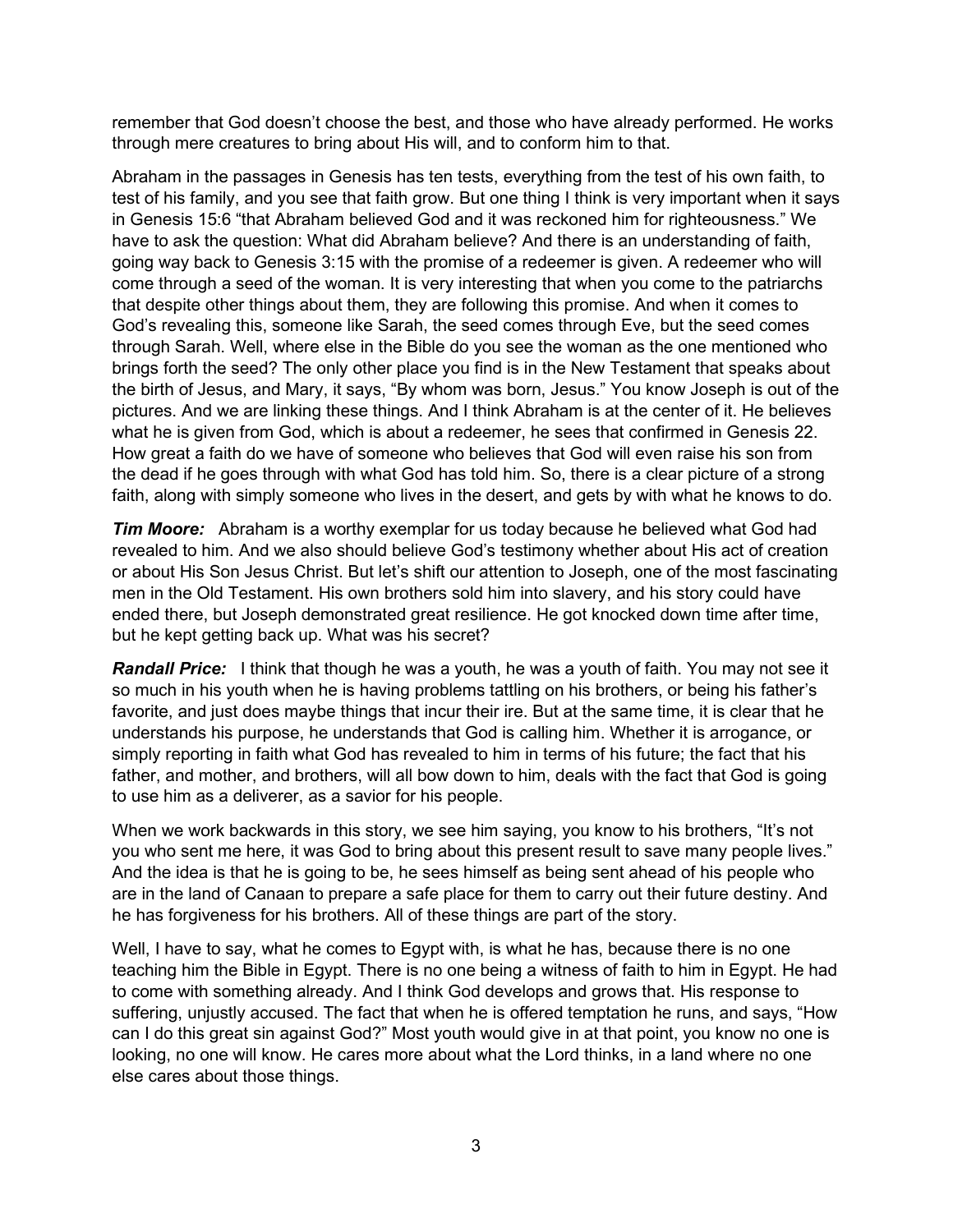remember that God doesn't choose the best, and those who have already performed. He works through mere creatures to bring about His will, and to conform him to that.

Abraham in the passages in Genesis has ten tests, everything from the test of his own faith, to test of his family, and you see that faith grow. But one thing I think is very important when it says in Genesis 15:6 "that Abraham believed God and it was reckoned him for righteousness." We have to ask the question: What did Abraham believe? And there is an understanding of faith, going way back to Genesis 3:15 with the promise of a redeemer is given. A redeemer who will come through a seed of the woman. It is very interesting that when you come to the patriarchs that despite other things about them, they are following this promise. And when it comes to God's revealing this, someone like Sarah, the seed comes through Eve, but the seed comes through Sarah. Well, where else in the Bible do you see the woman as the one mentioned who brings forth the seed? The only other place you find is in the New Testament that speaks about the birth of Jesus, and Mary, it says, "By whom was born, Jesus." You know Joseph is out of the pictures. And we are linking these things. And I think Abraham is at the center of it. He believes what he is given from God, which is about a redeemer, he sees that confirmed in Genesis 22. How great a faith do we have of someone who believes that God will even raise his son from the dead if he goes through with what God has told him. So, there is a clear picture of a strong faith, along with simply someone who lives in the desert, and gets by with what he knows to do.

*Tim Moore:* Abraham is a worthy exemplar for us today because he believed what God had revealed to him. And we also should believe God's testimony whether about His act of creation or about His Son Jesus Christ. But let's shift our attention to Joseph, one of the most fascinating men in the Old Testament. His own brothers sold him into slavery, and his story could have ended there, but Joseph demonstrated great resilience. He got knocked down time after time, but he kept getting back up. What was his secret?

*Randall Price:* I think that though he was a youth, he was a youth of faith. You may not see it so much in his youth when he is having problems tattling on his brothers, or being his father's favorite, and just does maybe things that incur their ire. But at the same time, it is clear that he understands his purpose, he understands that God is calling him. Whether it is arrogance, or simply reporting in faith what God has revealed to him in terms of his future; the fact that his father, and mother, and brothers, will all bow down to him, deals with the fact that God is going to use him as a deliverer, as a savior for his people.

When we work backwards in this story, we see him saying, you know to his brothers, "It's not you who sent me here, it was God to bring about this present result to save many people lives." And the idea is that he is going to be, he sees himself as being sent ahead of his people who are in the land of Canaan to prepare a safe place for them to carry out their future destiny. And he has forgiveness for his brothers. All of these things are part of the story.

Well, I have to say, what he comes to Egypt with, is what he has, because there is no one teaching him the Bible in Egypt. There is no one being a witness of faith to him in Egypt. He had to come with something already. And I think God develops and grows that. His response to suffering, unjustly accused. The fact that when he is offered temptation he runs, and says, "How can I do this great sin against God?" Most youth would give in at that point, you know no one is looking, no one will know. He cares more about what the Lord thinks, in a land where no one else cares about those things.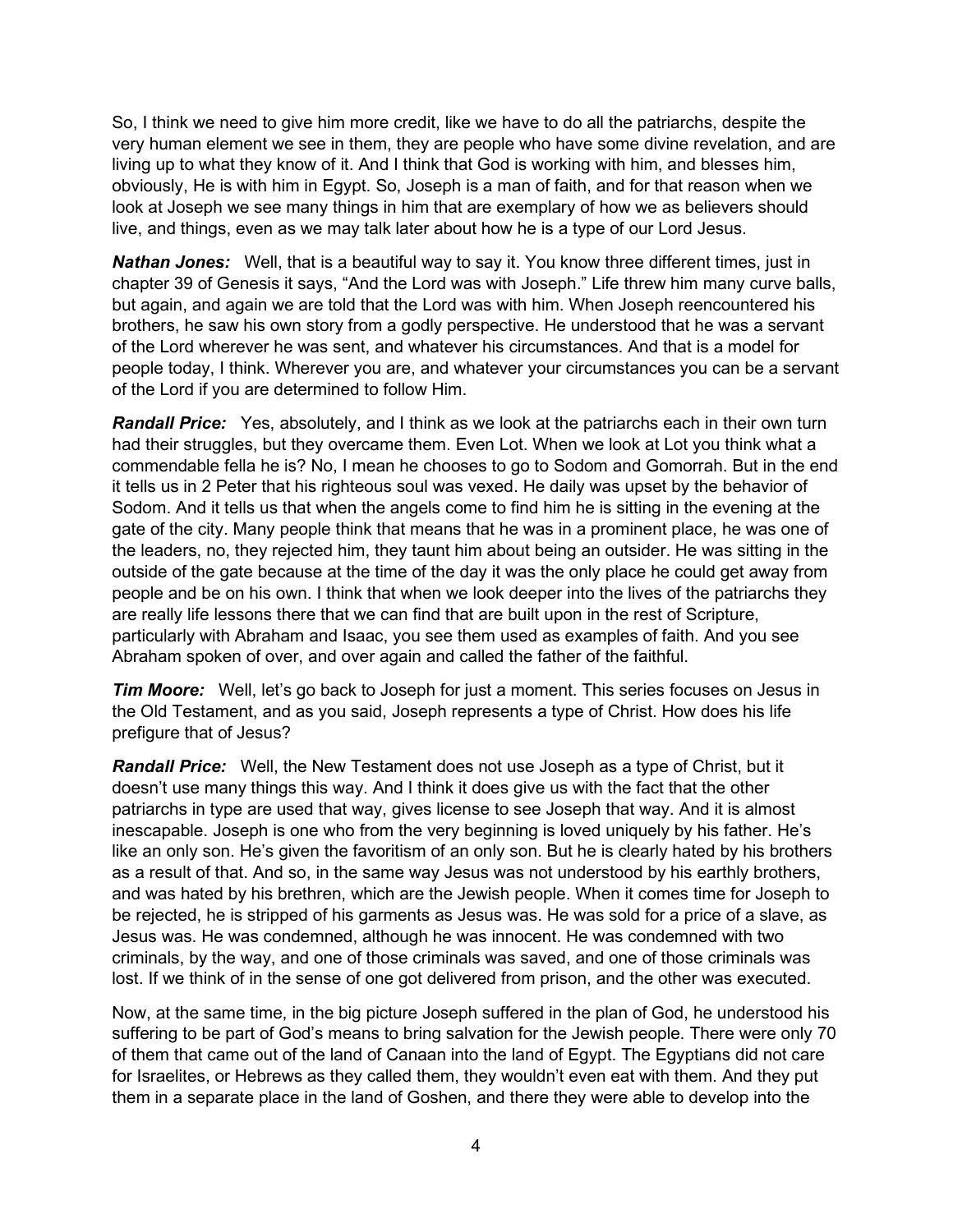So, I think we need to give him more credit, like we have to do all the patriarchs, despite the very human element we see in them, they are people who have some divine revelation, and are living up to what they know of it. And I think that God is working with him, and blesses him, obviously, He is with him in Egypt. So, Joseph is a man of faith, and for that reason when we look at Joseph we see many things in him that are exemplary of how we as believers should live, and things, even as we may talk later about how he is a type of our Lord Jesus.

*Nathan Jones:* Well, that is a beautiful way to say it. You know three different times, just in chapter 39 of Genesis it says, "And the Lord was with Joseph." Life threw him many curve balls, but again, and again we are told that the Lord was with him. When Joseph reencountered his brothers, he saw his own story from a godly perspective. He understood that he was a servant of the Lord wherever he was sent, and whatever his circumstances. And that is a model for people today, I think. Wherever you are, and whatever your circumstances you can be a servant of the Lord if you are determined to follow Him.

*Randall Price:* Yes, absolutely, and I think as we look at the patriarchs each in their own turn had their struggles, but they overcame them. Even Lot. When we look at Lot you think what a commendable fella he is? No, I mean he chooses to go to Sodom and Gomorrah. But in the end it tells us in 2 Peter that his righteous soul was vexed. He daily was upset by the behavior of Sodom. And it tells us that when the angels come to find him he is sitting in the evening at the gate of the city. Many people think that means that he was in a prominent place, he was one of the leaders, no, they rejected him, they taunt him about being an outsider. He was sitting in the outside of the gate because at the time of the day it was the only place he could get away from people and be on his own. I think that when we look deeper into the lives of the patriarchs they are really life lessons there that we can find that are built upon in the rest of Scripture, particularly with Abraham and Isaac, you see them used as examples of faith. And you see Abraham spoken of over, and over again and called the father of the faithful.

*Tim Moore:* Well, let's go back to Joseph for just a moment. This series focuses on Jesus in the Old Testament, and as you said, Joseph represents a type of Christ. How does his life prefigure that of Jesus?

*Randall Price:* Well, the New Testament does not use Joseph as a type of Christ, but it doesn't use many things this way. And I think it does give us with the fact that the other patriarchs in type are used that way, gives license to see Joseph that way. And it is almost inescapable. Joseph is one who from the very beginning is loved uniquely by his father. He's like an only son. He's given the favoritism of an only son. But he is clearly hated by his brothers as a result of that. And so, in the same way Jesus was not understood by his earthly brothers, and was hated by his brethren, which are the Jewish people. When it comes time for Joseph to be rejected, he is stripped of his garments as Jesus was. He was sold for a price of a slave, as Jesus was. He was condemned, although he was innocent. He was condemned with two criminals, by the way, and one of those criminals was saved, and one of those criminals was lost. If we think of in the sense of one got delivered from prison, and the other was executed.

Now, at the same time, in the big picture Joseph suffered in the plan of God, he understood his suffering to be part of God's means to bring salvation for the Jewish people. There were only 70 of them that came out of the land of Canaan into the land of Egypt. The Egyptians did not care for Israelites, or Hebrews as they called them, they wouldn't even eat with them. And they put them in a separate place in the land of Goshen, and there they were able to develop into the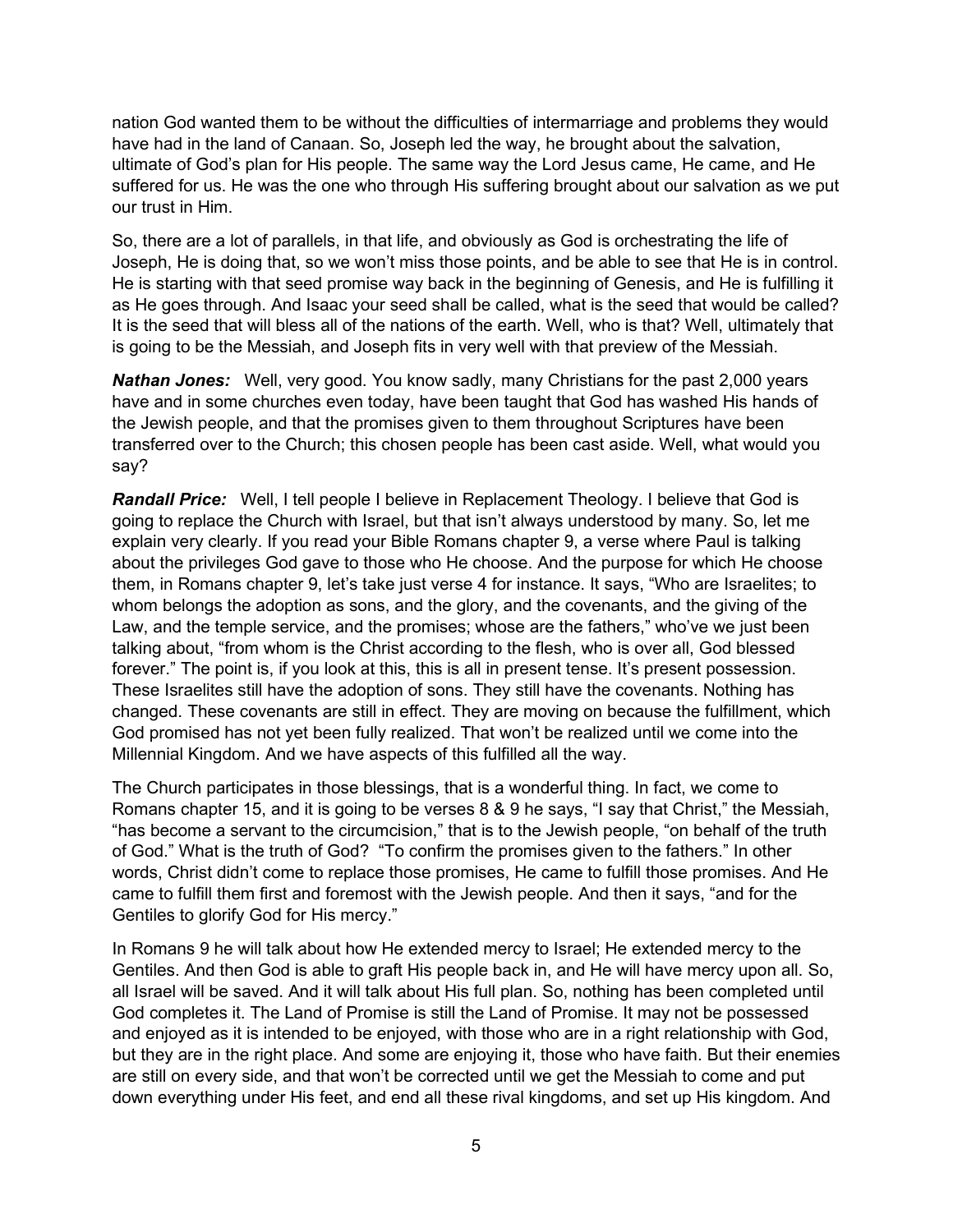nation God wanted them to be without the difficulties of intermarriage and problems they would have had in the land of Canaan. So, Joseph led the way, he brought about the salvation, ultimate of God's plan for His people. The same way the Lord Jesus came, He came, and He suffered for us. He was the one who through His suffering brought about our salvation as we put our trust in Him.

So, there are a lot of parallels, in that life, and obviously as God is orchestrating the life of Joseph, He is doing that, so we won't miss those points, and be able to see that He is in control. He is starting with that seed promise way back in the beginning of Genesis, and He is fulfilling it as He goes through. And Isaac your seed shall be called, what is the seed that would be called? It is the seed that will bless all of the nations of the earth. Well, who is that? Well, ultimately that is going to be the Messiah, and Joseph fits in very well with that preview of the Messiah.

*Nathan Jones:* Well, very good. You know sadly, many Christians for the past 2,000 years have and in some churches even today, have been taught that God has washed His hands of the Jewish people, and that the promises given to them throughout Scriptures have been transferred over to the Church; this chosen people has been cast aside. Well, what would you say?

*Randall Price:* Well, I tell people I believe in Replacement Theology. I believe that God is going to replace the Church with Israel, but that isn't always understood by many. So, let me explain very clearly. If you read your Bible Romans chapter 9, a verse where Paul is talking about the privileges God gave to those who He choose. And the purpose for which He choose them, in Romans chapter 9, let's take just verse 4 for instance. It says, "Who are Israelites; to whom belongs the adoption as sons, and the glory, and the covenants, and the giving of the Law, and the temple service, and the promises; whose are the fathers," who've we just been talking about, "from whom is the Christ according to the flesh, who is over all, God blessed forever." The point is, if you look at this, this is all in present tense. It's present possession. These Israelites still have the adoption of sons. They still have the covenants. Nothing has changed. These covenants are still in effect. They are moving on because the fulfillment, which God promised has not yet been fully realized. That won't be realized until we come into the Millennial Kingdom. And we have aspects of this fulfilled all the way.

The Church participates in those blessings, that is a wonderful thing. In fact, we come to Romans chapter 15, and it is going to be verses 8 & 9 he says, "I say that Christ," the Messiah, "has become a servant to the circumcision," that is to the Jewish people, "on behalf of the truth of God." What is the truth of God? "To confirm the promises given to the fathers." In other words, Christ didn't come to replace those promises, He came to fulfill those promises. And He came to fulfill them first and foremost with the Jewish people. And then it says, "and for the Gentiles to glorify God for His mercy."

In Romans 9 he will talk about how He extended mercy to Israel; He extended mercy to the Gentiles. And then God is able to graft His people back in, and He will have mercy upon all. So, all Israel will be saved. And it will talk about His full plan. So, nothing has been completed until God completes it. The Land of Promise is still the Land of Promise. It may not be possessed and enjoyed as it is intended to be enjoyed, with those who are in a right relationship with God, but they are in the right place. And some are enjoying it, those who have faith. But their enemies are still on every side, and that won't be corrected until we get the Messiah to come and put down everything under His feet, and end all these rival kingdoms, and set up His kingdom. And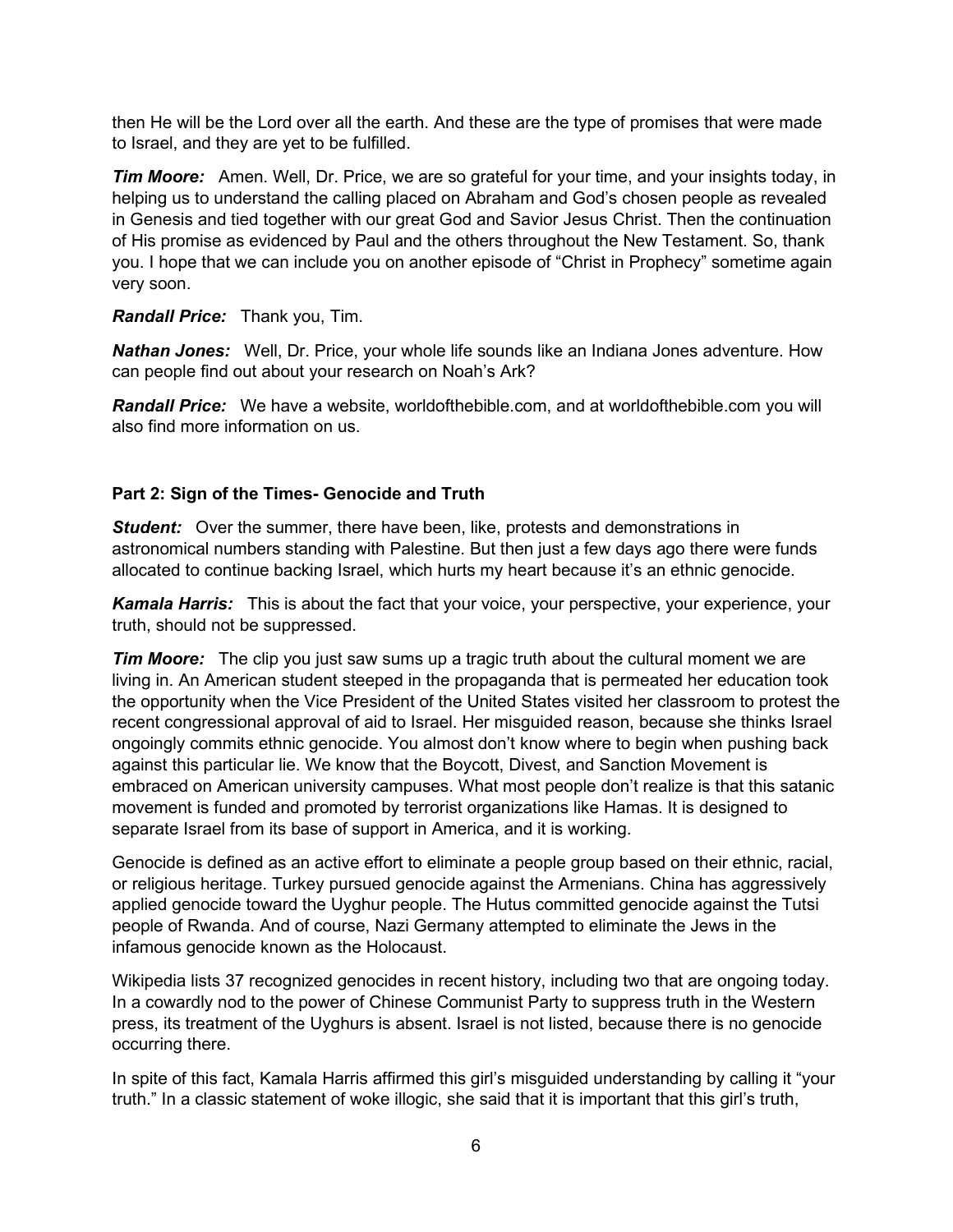then He will be the Lord over all the earth. And these are the type of promises that were made to Israel, and they are yet to be fulfilled.

*Tim Moore:* Amen. Well, Dr. Price, we are so grateful for your time, and your insights today, in helping us to understand the calling placed on Abraham and God's chosen people as revealed in Genesis and tied together with our great God and Savior Jesus Christ. Then the continuation of His promise as evidenced by Paul and the others throughout the New Testament. So, thank you. I hope that we can include you on another episode of "Christ in Prophecy" sometime again very soon.

#### *Randall Price:* Thank you, Tim.

*Nathan Jones:* Well, Dr. Price, your whole life sounds like an Indiana Jones adventure. How can people find out about your research on Noah's Ark?

*Randall Price:* We have a website, worldofthebible.com, and at worldofthebible.com you will also find more information on us.

## **Part 2: Sign of the Times- Genocide and Truth**

**Student:** Over the summer, there have been, like, protests and demonstrations in astronomical numbers standing with Palestine. But then just a few days ago there were funds allocated to continue backing Israel, which hurts my heart because it's an ethnic genocide.

*Kamala Harris:* This is about the fact that your voice, your perspective, your experience, your truth, should not be suppressed.

*Tim Moore:* The clip you just saw sums up a tragic truth about the cultural moment we are living in. An American student steeped in the propaganda that is permeated her education took the opportunity when the Vice President of the United States visited her classroom to protest the recent congressional approval of aid to Israel. Her misguided reason, because she thinks Israel ongoingly commits ethnic genocide. You almost don't know where to begin when pushing back against this particular lie. We know that the Boycott, Divest, and Sanction Movement is embraced on American university campuses. What most people don't realize is that this satanic movement is funded and promoted by terrorist organizations like Hamas. It is designed to separate Israel from its base of support in America, and it is working.

Genocide is defined as an active effort to eliminate a people group based on their ethnic, racial, or religious heritage. Turkey pursued genocide against the Armenians. China has aggressively applied genocide toward the Uyghur people. The Hutus committed genocide against the Tutsi people of Rwanda. And of course, Nazi Germany attempted to eliminate the Jews in the infamous genocide known as the Holocaust.

Wikipedia lists 37 recognized genocides in recent history, including two that are ongoing today. In a cowardly nod to the power of Chinese Communist Party to suppress truth in the Western press, its treatment of the Uyghurs is absent. Israel is not listed, because there is no genocide occurring there.

In spite of this fact, Kamala Harris affirmed this girl's misguided understanding by calling it "your truth." In a classic statement of woke illogic, she said that it is important that this girl's truth,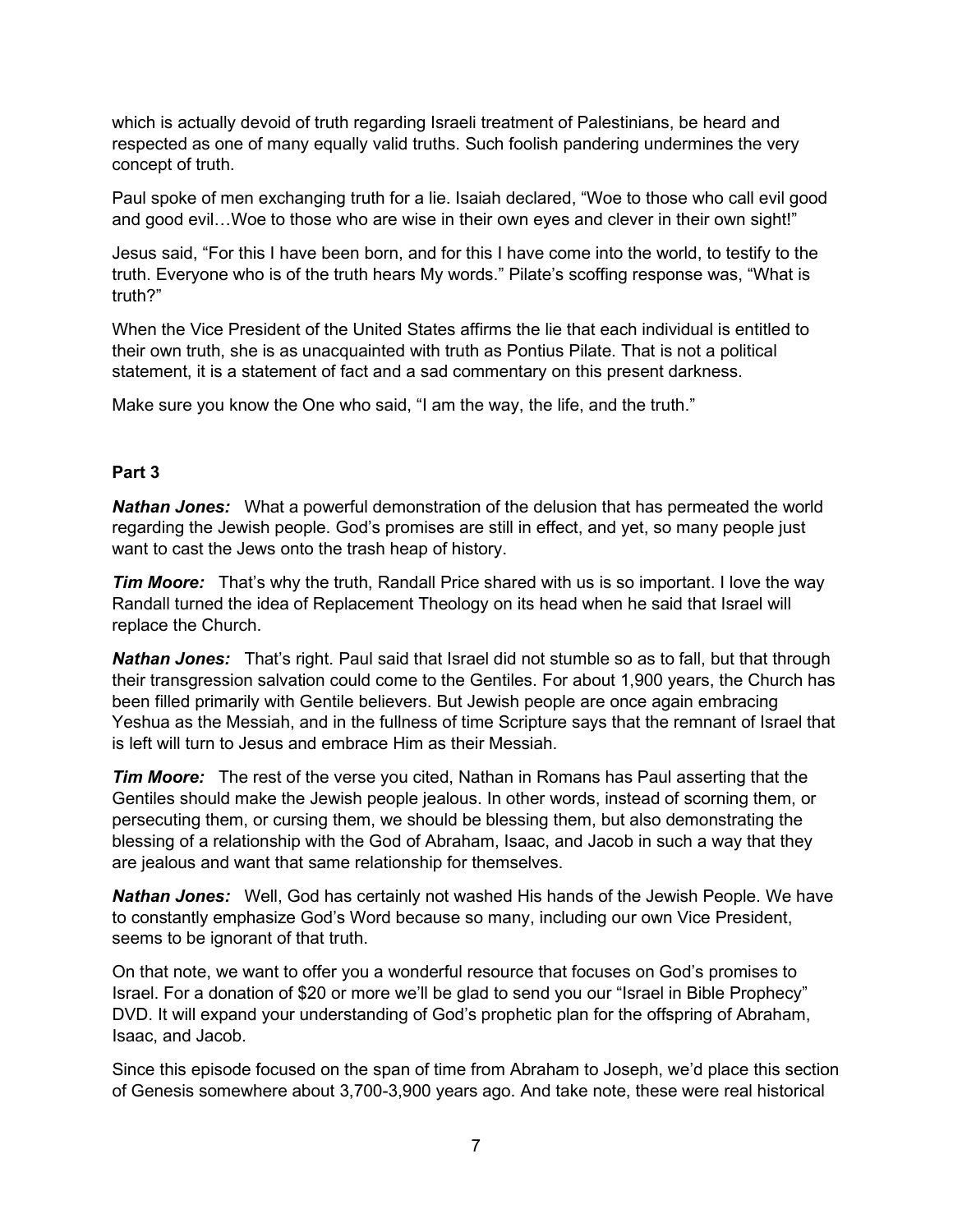which is actually devoid of truth regarding Israeli treatment of Palestinians, be heard and respected as one of many equally valid truths. Such foolish pandering undermines the very concept of truth.

Paul spoke of men exchanging truth for a lie. Isaiah declared, "Woe to those who call evil good and good evil…Woe to those who are wise in their own eyes and clever in their own sight!"

Jesus said, "For this I have been born, and for this I have come into the world, to testify to the truth. Everyone who is of the truth hears My words." Pilate's scoffing response was, "What is truth?"

When the Vice President of the United States affirms the lie that each individual is entitled to their own truth, she is as unacquainted with truth as Pontius Pilate. That is not a political statement, it is a statement of fact and a sad commentary on this present darkness.

Make sure you know the One who said, "I am the way, the life, and the truth."

# **Part 3**

*Nathan Jones:* What a powerful demonstration of the delusion that has permeated the world regarding the Jewish people. God's promises are still in effect, and yet, so many people just want to cast the Jews onto the trash heap of history.

*Tim Moore:* That's why the truth, Randall Price shared with us is so important. I love the way Randall turned the idea of Replacement Theology on its head when he said that Israel will replace the Church.

*Nathan Jones:* That's right. Paul said that Israel did not stumble so as to fall, but that through their transgression salvation could come to the Gentiles. For about 1,900 years, the Church has been filled primarily with Gentile believers. But Jewish people are once again embracing Yeshua as the Messiah, and in the fullness of time Scripture says that the remnant of Israel that is left will turn to Jesus and embrace Him as their Messiah.

*Tim Moore:* The rest of the verse you cited, Nathan in Romans has Paul asserting that the Gentiles should make the Jewish people jealous. In other words, instead of scorning them, or persecuting them, or cursing them, we should be blessing them, but also demonstrating the blessing of a relationship with the God of Abraham, Isaac, and Jacob in such a way that they are jealous and want that same relationship for themselves.

*Nathan Jones:* Well, God has certainly not washed His hands of the Jewish People. We have to constantly emphasize God's Word because so many, including our own Vice President, seems to be ignorant of that truth.

On that note, we want to offer you a wonderful resource that focuses on God's promises to Israel. For a donation of \$20 or more we'll be glad to send you our "Israel in Bible Prophecy" DVD. It will expand your understanding of God's prophetic plan for the offspring of Abraham, Isaac, and Jacob.

Since this episode focused on the span of time from Abraham to Joseph, we'd place this section of Genesis somewhere about 3,700-3,900 years ago. And take note, these were real historical